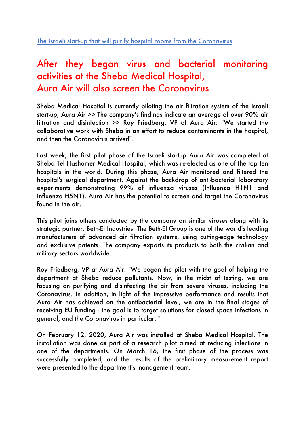## After they began virus and bacterial monitoring activities at the Sheba Medical Hospital, Aura Air will also screen the Coronavirus

Sheba Medical Hospital is currently piloting the air filtration system of the Israeli start-up, Aura Air >> The company's findings indicate an average of over 90% air filtration and disinfection >> Roy Friedberg, VP of Aura Air: "We started the collaborative work with Sheba in an effort to reduce contaminants in the hospital, and then the Coronavirus arrived".

Last week, the first pilot phase of the Israeli startup Aura Air was completed at Sheba Tel Hashomer Medical Hospital, which was re-elected as one of the top ten hospitals in the world. During this phase, Aura Air monitored and filtered the hospital's surgical department. Against the backdrop of anti-bacterial laboratory experiments demonstrating 99% of influenza viruses (Influenza H1N1 and Influenza H5N1), Aura Air has the potential to screen and target the Coronavirus found in the air.

This pilot joins others conducted by the company on similar viruses along with its strategic partner, Beth-El Industries. The Beth-El Group is one of the world's leading manufacturers of advanced air filtration systems, using cutting-edge technology and exclusive patents. The company exports its products to both the civilian and military sectors worldwide.

Roy Friedberg, VP at Aura Air: "We began the pilot with the goal of helping the department at Sheba reduce pollutants. Now, in the midst of testing, we are focusing on purifying and disinfecting the air from severe viruses, including the Coronavirus. In addition, in light of the impressive performance and results that Aura Air has achieved on the antibacterial level, we are in the final stages of receiving EU funding - the goal is to target solutions for closed space infections in general, and the Coronavirus in particular. "

On February 12, 2020, Aura Air was installed at Sheba Medical Hospital. The installation was done as part of a research pilot aimed at reducing infections in one of the departments. On March 16, the first phase of the process was successfully completed, and the results of the preliminary measurement report were presented to the department's management team.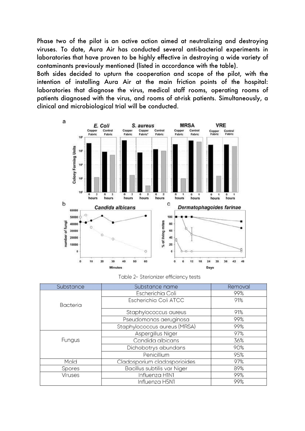Phase two of the pilot is an active action aimed at neutralizing and destroying viruses. To date, Aura Air has conducted several anti-bacterial experiments in laboratories that have proven to be highly effective in destroying a wide variety of contaminants previously mentioned (listed in accordance with the table).

Both sides decided to upturn the cooperation and scope of the pilot, with the intention of installing Aura Air at the main friction points of the hospital: laboratories that diagnose the virus, medical staff rooms, operating rooms of patients diagnosed with the virus, and rooms of at-risk patients. Simultaneously, a clinical and microbiological trial will be conducted.



Table 2- Sterionizer efficiency tests

| Substance       | Substance name                     | Removal |
|-----------------|------------------------------------|---------|
| <b>Bacteria</b> | Escherichia Coli                   | 99%     |
|                 | Escherichia Coli ATCC              | 91%     |
|                 | Staphylococcus aureus              | 91%     |
|                 | Pseudomonas aeruginosa             | 99%     |
|                 | Staphylococcus aureus (MRSA)       | 99%     |
| Fungus          | Aspergillus Niger                  | 97%     |
|                 | Candida albicans                   | 36%     |
|                 | Dichobotrys abundans               | 90%     |
|                 | Penicillium                        | 95%     |
| Mold            | Cladosporium cladosporioides       | 97%     |
| Spores          | <b>Bacillus subtilis var Niger</b> | 89%     |
| <b>Viruses</b>  | Influenza H1N1                     | 99%     |
|                 | Influenza H5N1                     | 99%     |